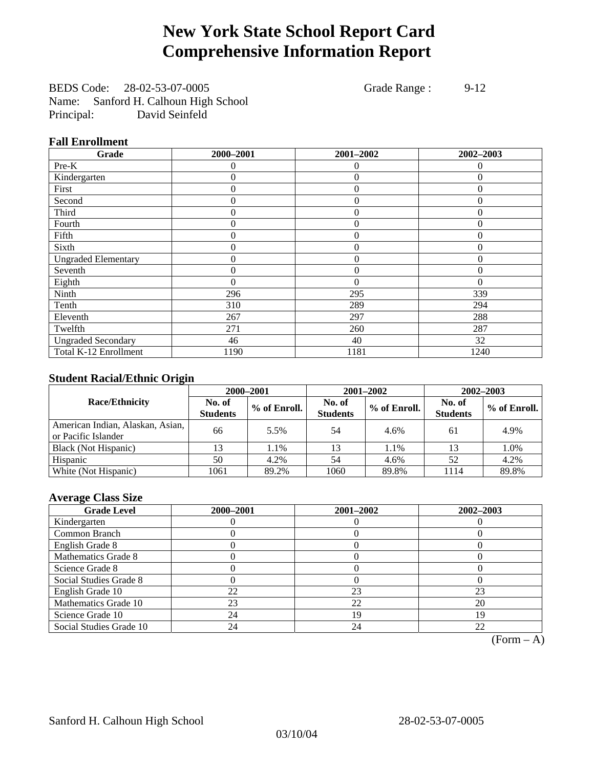## **New York State School Report Card Comprehensive Information Report**

BEDS Code: 28-02-53-07-0005 Grade Range : 9-12 Name: Sanford H. Calhoun High School Principal: David Seinfeld

### **Fall Enrollment**

| Grade                      | 2000-2001 | 2001-2002      | 2002-2003    |
|----------------------------|-----------|----------------|--------------|
| Pre-K                      | $\Omega$  | $\theta$       | $\Omega$     |
| Kindergarten               | 0         | $\theta$       | $\Omega$     |
| First                      | $\theta$  | $\theta$       | $\Omega$     |
| Second                     | 0         | $\theta$       | $\Omega$     |
| Third                      | 0         | $\theta$       | $\Omega$     |
| Fourth                     | 0         | $\overline{0}$ | $\theta$     |
| Fifth                      | $\theta$  | $\overline{0}$ | $\mathbf{0}$ |
| Sixth                      | 0         | $\Omega$       | $\Omega$     |
| <b>Ungraded Elementary</b> | 0         | $\theta$       | $\Omega$     |
| Seventh                    | 0         | $\overline{0}$ | $\theta$     |
| Eighth                     | $\theta$  | $\theta$       | $\Omega$     |
| Ninth                      | 296       | 295            | 339          |
| Tenth                      | 310       | 289            | 294          |
| Eleventh                   | 267       | 297            | 288          |
| Twelfth                    | 271       | 260            | 287          |
| <b>Ungraded Secondary</b>  | 46        | 40             | 32           |
| Total K-12 Enrollment      | 1190      | 1181           | 1240         |

### **Student Racial/Ethnic Origin**

|                                                         | 2000-2001<br>2001-2002<br>2002-2003 |              |                           |              |                           |                |
|---------------------------------------------------------|-------------------------------------|--------------|---------------------------|--------------|---------------------------|----------------|
| <b>Race/Ethnicity</b>                                   | No. of<br><b>Students</b>           | % of Enroll. | No. of<br><b>Students</b> | % of Enroll. | No. of<br><b>Students</b> | $%$ of Enroll. |
| American Indian, Alaskan, Asian,<br>or Pacific Islander | 66                                  | 5.5%         | 54                        | 4.6%         | 61                        | 4.9%           |
| Black (Not Hispanic)                                    |                                     | 1.1%         | 13                        | 1.1%         | 13                        | 1.0%           |
| Hispanic                                                | 50                                  | 4.2%         | 54                        | 4.6%         | 52                        | 4.2%           |
| White (Not Hispanic)                                    | 1061                                | 89.2%        | 1060                      | 89.8%        | 1114                      | 89.8%          |

### **Average Class Size**

| <b>Grade Level</b>      | 2000-2001 | 2001-2002 | 2002-2003 |
|-------------------------|-----------|-----------|-----------|
| Kindergarten            |           |           |           |
| Common Branch           |           |           |           |
| English Grade 8         |           |           |           |
| Mathematics Grade 8     |           |           |           |
| Science Grade 8         |           |           |           |
| Social Studies Grade 8  |           |           |           |
| English Grade 10        | 22        | 23        | 23        |
| Mathematics Grade 10    | 23        | 22        | 20        |
| Science Grade 10        | 24        | 19        | 19        |
| Social Studies Grade 10 | 24        | 24        | 22        |

 $(Form - A)$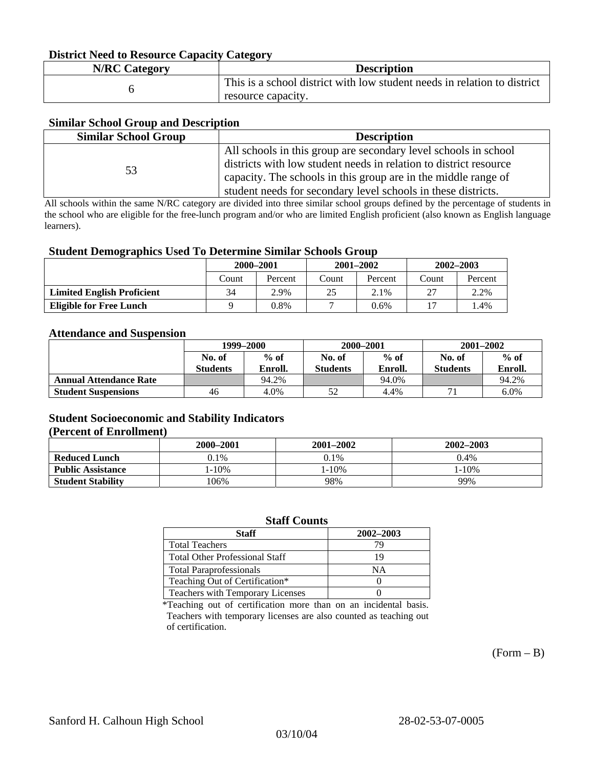#### **District Need to Resource Capacity Category**

| <b>N/RC Category</b> | <b>Description</b>                                                                             |
|----------------------|------------------------------------------------------------------------------------------------|
|                      | This is a school district with low student needs in relation to district<br>resource capacity. |

#### **Similar School Group and Description**

| <b>Similar School Group</b> | <b>Description</b>                                                |
|-----------------------------|-------------------------------------------------------------------|
|                             | All schools in this group are secondary level schools in school   |
| 53                          | districts with low student needs in relation to district resource |
|                             | capacity. The schools in this group are in the middle range of    |
|                             | student needs for secondary level schools in these districts.     |

All schools within the same N/RC category are divided into three similar school groups defined by the percentage of students in the school who are eligible for the free-lunch program and/or who are limited English proficient (also known as English language learners).

#### **Student Demographics Used To Determine Similar Schools Group**

| . .                               |           |         |       |               |       |               |  |
|-----------------------------------|-----------|---------|-------|---------------|-------|---------------|--|
|                                   | 2000-2001 |         |       | $2001 - 2002$ |       | $2002 - 2003$ |  |
|                                   | Count     | Percent | Count | Percent       | Count | Percent       |  |
| <b>Limited English Proficient</b> | 34        | 2.9%    | 25    | 2.1%          | 27    | 2.2%          |  |
| <b>Eligible for Free Lunch</b>    |           | 0.8%    |       | $0.6\%$       |       | l.4%          |  |

#### **Attendance and Suspension**

|                               | 1999–2000       |         | 2000-2001 |         | $2001 - 2002$   |         |
|-------------------------------|-----------------|---------|-----------|---------|-----------------|---------|
|                               | No. of          | $%$ of  | No. of    | $%$ of  | No. of          | $%$ of  |
|                               | <b>Students</b> | Enroll. | Students  | Enroll. | <b>Students</b> | Enroll. |
| <b>Annual Attendance Rate</b> |                 | 94.2%   |           | 94.0%   |                 | 94.2%   |
| <b>Student Suspensions</b>    | 46              | 4.0%    | 50        | 4.4%    |                 | $6.0\%$ |

### **Student Socioeconomic and Stability Indicators (Percent of Enrollment)**

|                          | 2000-2001  | 2001–2002  | 2002-2003 |
|--------------------------|------------|------------|-----------|
| <b>Reduced Lunch</b>     | 0.1%       | $0.1\%$    | 0.4%      |
| <b>Public Assistance</b> | $1 - 10\%$ | $1 - 10\%$ | $-10%$    |
| <b>Student Stability</b> | $106\%$    | 98%        | 99%       |

#### **Staff Counts**

| Staff                                 | 2002-2003 |
|---------------------------------------|-----------|
| <b>Total Teachers</b>                 | 70        |
| <b>Total Other Professional Staff</b> | 19        |
| <b>Total Paraprofessionals</b>        | NΑ        |
| Teaching Out of Certification*        |           |
| Teachers with Temporary Licenses      |           |

\*Teaching out of certification more than on an incidental basis. Teachers with temporary licenses are also counted as teaching out of certification.

 $(Form - B)$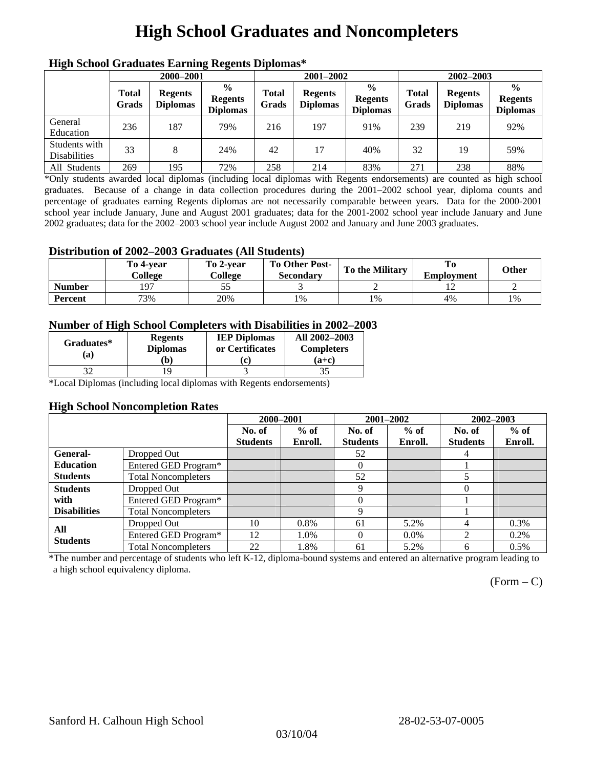## **High School Graduates and Noncompleters**

| ніді эспол этайнакі патінід кеденія вірюшая |                       |                                   |                                                    |                       |                                   |                                                    |                       |                                   |                                                    |
|---------------------------------------------|-----------------------|-----------------------------------|----------------------------------------------------|-----------------------|-----------------------------------|----------------------------------------------------|-----------------------|-----------------------------------|----------------------------------------------------|
|                                             | 2000-2001             |                                   |                                                    |                       | 2001-2002                         |                                                    | 2002-2003             |                                   |                                                    |
|                                             | <b>Total</b><br>Grads | <b>Regents</b><br><b>Diplomas</b> | $\frac{6}{9}$<br><b>Regents</b><br><b>Diplomas</b> | <b>Total</b><br>Grads | <b>Regents</b><br><b>Diplomas</b> | $\frac{6}{6}$<br><b>Regents</b><br><b>Diplomas</b> | <b>Total</b><br>Grads | <b>Regents</b><br><b>Diplomas</b> | $\frac{0}{0}$<br><b>Regents</b><br><b>Diplomas</b> |
| General<br>Education                        | 236                   | 187                               | 79%                                                | 216                   | 197                               | 91%                                                | 239                   | 219                               | 92%                                                |
| Students with<br><b>Disabilities</b>        | 33                    | 8                                 | 24%                                                | 42                    | 17                                | 40%                                                | 32                    | 19                                | 59%                                                |
| All Students                                | 269                   | 195                               | 72%                                                | 258                   | 214                               | 83%                                                | 271                   | 238                               | 88%                                                |

### **High School Graduates Earning Regents Diplomas\***

\*Only students awarded local diplomas (including local diplomas with Regents endorsements) are counted as high school graduates. Because of a change in data collection procedures during the 2001–2002 school year, diploma counts and percentage of graduates earning Regents diplomas are not necessarily comparable between years. Data for the 2000-2001 school year include January, June and August 2001 graduates; data for the 2001-2002 school year include January and June 2002 graduates; data for the 2002–2003 school year include August 2002 and January and June 2003 graduates.

### **Distribution of 2002–2003 Graduates (All Students)**

|               | To 4-vear<br>College | To 2-vear<br>College | <b>To Other Post-</b><br>Secondary | <b>To the Military</b> | To<br><b>Employment</b> | <b>Other</b> |
|---------------|----------------------|----------------------|------------------------------------|------------------------|-------------------------|--------------|
| <b>Number</b> | 107                  |                      |                                    |                        |                         |              |
| Percent       | 73%                  | 20%                  | 1%                                 | 1%                     | 4%                      | 1%           |

### **Number of High School Completers with Disabilities in 2002–2003**

| Graduates*<br>(a) | <b>Regents</b><br><b>Diplomas</b><br>b) | <b>IEP Diplomas</b><br>or Certificates | All 2002-2003<br><b>Completers</b><br>$(a+c)$ |
|-------------------|-----------------------------------------|----------------------------------------|-----------------------------------------------|
|                   |                                         |                                        |                                               |

\*Local Diplomas (including local diplomas with Regents endorsements)

#### **High School Noncompletion Rates**

| . .                 |                            | 2000-2001       |         | 2001-2002       |         | 2002-2003       |         |
|---------------------|----------------------------|-----------------|---------|-----------------|---------|-----------------|---------|
|                     |                            | No. of          | $%$ of  | No. of          | $%$ of  | No. of          | $%$ of  |
|                     |                            | <b>Students</b> | Enroll. | <b>Students</b> | Enroll. | <b>Students</b> | Enroll. |
| General-            | Dropped Out                |                 |         | 52              |         | 4               |         |
| <b>Education</b>    | Entered GED Program*       |                 |         | $\theta$        |         |                 |         |
| <b>Students</b>     | <b>Total Noncompleters</b> |                 |         | 52              |         |                 |         |
| <b>Students</b>     | Dropped Out                |                 |         | 9               |         | 0               |         |
| with                | Entered GED Program*       |                 |         | $\Omega$        |         |                 |         |
| <b>Disabilities</b> | <b>Total Noncompleters</b> |                 |         | 9               |         |                 |         |
| All                 | Dropped Out                | 10              | 0.8%    | 61              | 5.2%    | 4               | 0.3%    |
| <b>Students</b>     | Entered GED Program*       | 12              | 1.0%    | $\Omega$        | $0.0\%$ | 2               | 0.2%    |
|                     | <b>Total Noncompleters</b> | 22              | 1.8%    | 61              | 5.2%    | 6               | 0.5%    |

\*The number and percentage of students who left K-12, diploma-bound systems and entered an alternative program leading to a high school equivalency diploma.

 $(Form - C)$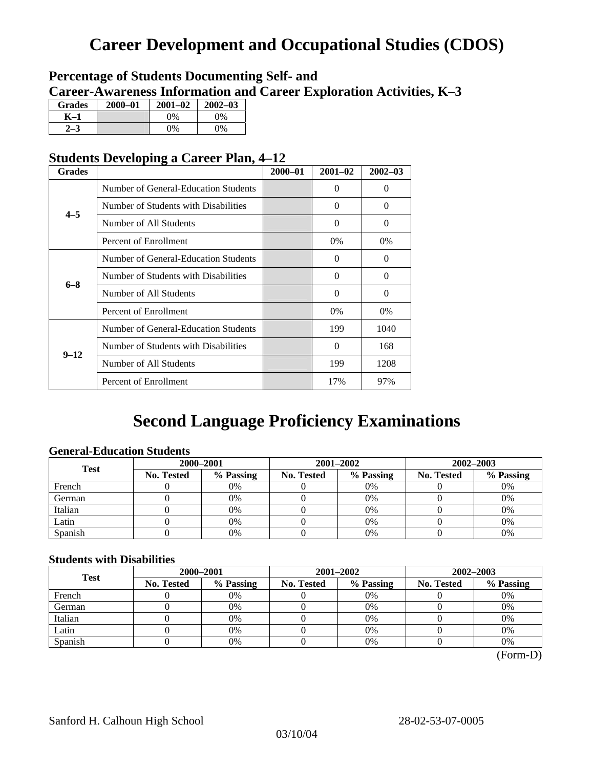## **Career Development and Occupational Studies (CDOS)**

### **Percentage of Students Documenting Self- and Career-Awareness Information and Career Exploration Activities, K–3**

| <b>Grades</b> | 2000-01 | $2001 - 02$ | $2002 - 03$ |
|---------------|---------|-------------|-------------|
| K–1           |         | $0\%$       | $0\%$       |
|               |         | $0\%$       | 9%          |

### **Students Developing a Career Plan, 4–12**

| <b>Grades</b> |                                      | $2000 - 01$ | $2001 - 02$ | $2002 - 03$ |
|---------------|--------------------------------------|-------------|-------------|-------------|
|               | Number of General-Education Students |             | $\theta$    | $\theta$    |
| $4 - 5$       | Number of Students with Disabilities |             | 0           | $\Omega$    |
|               | Number of All Students               |             | $\theta$    | $\Omega$    |
|               | Percent of Enrollment                |             | $0\%$       | $0\%$       |
|               | Number of General-Education Students |             | $\Omega$    | $\Omega$    |
|               | Number of Students with Disabilities |             | $\theta$    | $\Omega$    |
| $6 - 8$       | Number of All Students               |             | $\theta$    | $\Omega$    |
|               | Percent of Enrollment                |             | $0\%$       | $0\%$       |
|               | Number of General-Education Students |             | 199         | 1040        |
|               | Number of Students with Disabilities |             | $\theta$    | 168         |
| $9 - 12$      | Number of All Students               |             | 199         | 1208        |
|               | Percent of Enrollment                |             | 17%         | 97%         |

### **Second Language Proficiency Examinations**

### **General-Education Students**

| <b>Test</b> | 2000-2001                      |    |                         | 2001-2002 | 2002-2003         |           |  |
|-------------|--------------------------------|----|-------------------------|-----------|-------------------|-----------|--|
|             | % Passing<br><b>No. Tested</b> |    | % Passing<br>No. Tested |           | <b>No. Tested</b> | % Passing |  |
| French      |                                | 0% |                         | $0\%$     |                   | 0%        |  |
| German      |                                | 0% |                         | 0%        |                   | 0%        |  |
| Italian     |                                | 0% |                         | 0%        |                   | 0%        |  |
| Latin       |                                | 0% |                         | 0%        |                   | 0%        |  |
| Spanish     |                                | 0% |                         | 0%        |                   | 0%        |  |

### **Students with Disabilities**

| <b>Test</b> | 2000-2001         |           |  | 2001-2002               | 2002-2003 |                   |           |
|-------------|-------------------|-----------|--|-------------------------|-----------|-------------------|-----------|
|             | <b>No. Tested</b> | % Passing |  | % Passing<br>No. Tested |           | <b>No. Tested</b> | % Passing |
| French      |                   | 0%        |  | 0%                      |           | 0%                |           |
| German      |                   | 0%        |  | $0\%$                   |           | 0%                |           |
| Italian     |                   | 0%        |  | $0\%$                   |           | 0%                |           |
| Latin       |                   | 0%        |  | 0%                      |           | 0%                |           |
| Spanish     |                   | 0%        |  | 0%                      |           | 0%                |           |

(Form-D)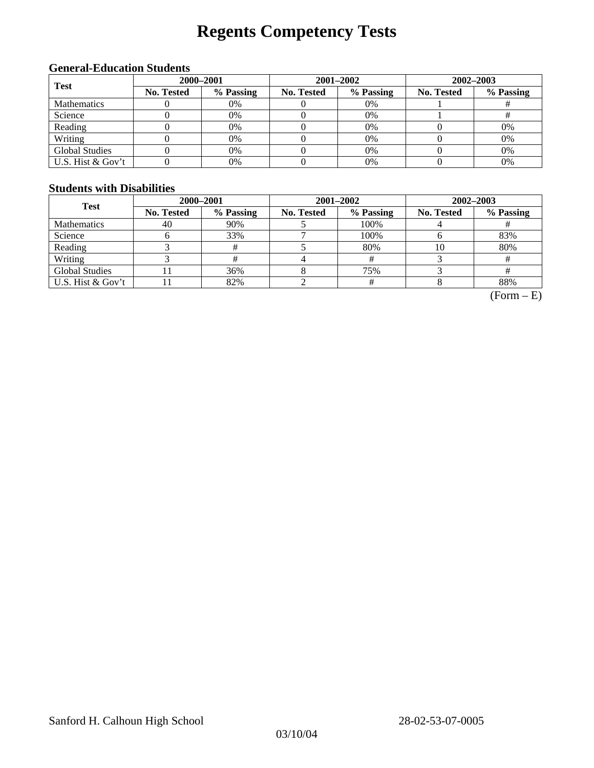# **Regents Competency Tests**

### **General-Education Students**

| <b>Test</b>           |            | 2000-2001 |            | 2001-2002 | 2002-2003  |           |  |
|-----------------------|------------|-----------|------------|-----------|------------|-----------|--|
|                       | No. Tested | % Passing | No. Tested | % Passing | No. Tested | % Passing |  |
| <b>Mathematics</b>    |            | 0%        |            | $0\%$     |            |           |  |
| Science               |            | 0%        |            | $0\%$     |            |           |  |
| Reading               |            | 0%        |            | $0\%$     |            | 0%        |  |
| Writing               |            | 0%        |            | $0\%$     |            | 0%        |  |
| <b>Global Studies</b> |            | 0%        |            | 0%        |            | 0%        |  |
| U.S. Hist & Gov't     |            | 0%        |            | 0%        |            | 0%        |  |

#### **Students with Disabilities**

| <b>Test</b>           | 2000-2001         |           |            | 2001-2002 | 2002-2003  |           |  |
|-----------------------|-------------------|-----------|------------|-----------|------------|-----------|--|
|                       | <b>No. Tested</b> | % Passing | No. Tested | % Passing | No. Tested | % Passing |  |
| <b>Mathematics</b>    | 40                | 90%       |            | 100%      |            |           |  |
| Science               |                   | 33%       |            | 100%      |            | 83%       |  |
| Reading               |                   |           |            | 80%       | 10         | 80%       |  |
| Writing               |                   |           |            |           |            |           |  |
| <b>Global Studies</b> |                   | 36%       |            | 75%       |            |           |  |
| U.S. Hist & Gov't     |                   | 82%       |            |           |            | 88%       |  |

 $(Form - E)$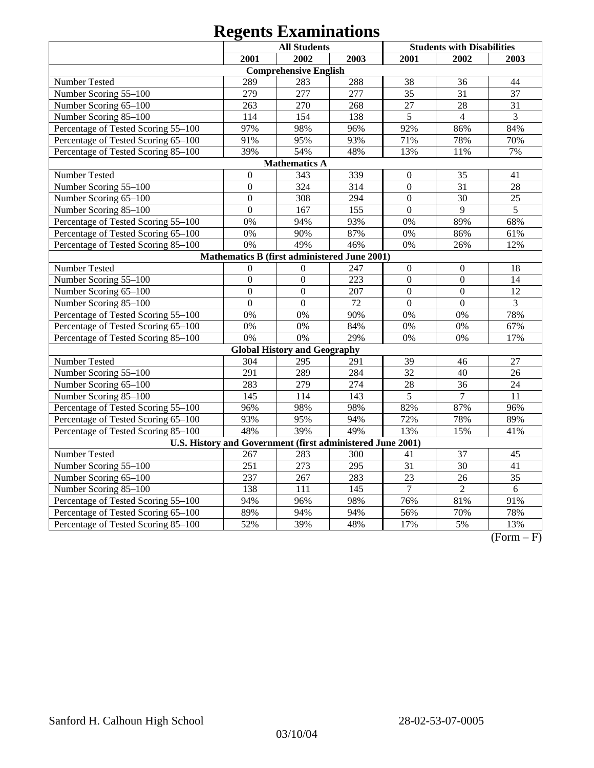| <b>All Students</b>                          |                  |                                                            |      |                 | <b>Students with Disabilities</b> |                 |  |  |
|----------------------------------------------|------------------|------------------------------------------------------------|------|-----------------|-----------------------------------|-----------------|--|--|
|                                              | 2001             | 2002                                                       | 2003 | 2001            | 2002                              | 2003            |  |  |
|                                              |                  | <b>Comprehensive English</b>                               |      |                 |                                   |                 |  |  |
| Number Tested                                | 289              | 283                                                        | 288  | 38              | 36                                | 44              |  |  |
| Number Scoring 55-100                        | 279              | 277                                                        | 277  | 35              | 31                                | 37              |  |  |
| Number Scoring 65-100                        | 263              | 270                                                        | 268  | 27              | 28                                | 31              |  |  |
| Number Scoring 85-100                        | 114              | 154                                                        | 138  | $\overline{5}$  | $\overline{4}$                    | $\overline{3}$  |  |  |
| Percentage of Tested Scoring 55-100          | 97%              | 98%                                                        | 96%  | 92%             | 86%                               | 84%             |  |  |
| Percentage of Tested Scoring 65-100          | 91%              | 95%                                                        | 93%  | 71%             | 78%                               | 70%             |  |  |
| Percentage of Tested Scoring 85-100          | 39%              | 54%                                                        | 48%  | 13%             | 11%                               | 7%              |  |  |
|                                              |                  | <b>Mathematics A</b>                                       |      |                 |                                   |                 |  |  |
| Number Tested                                | $\boldsymbol{0}$ | 343                                                        | 339  | $\mathbf{0}$    | 35                                | 41              |  |  |
| Number Scoring 55-100                        | $\overline{0}$   | 324                                                        | 314  | $\mathbf{0}$    | 31                                | 28              |  |  |
| Number Scoring 65-100                        | $\boldsymbol{0}$ | 308                                                        | 294  | $\Omega$        | 30                                | 25              |  |  |
| Number Scoring 85-100                        | $\overline{0}$   | 167                                                        | 155  | $\mathbf{0}$    | 9                                 | $\overline{5}$  |  |  |
| Percentage of Tested Scoring 55-100          | 0%               | 94%                                                        | 93%  | 0%              | 89%                               | 68%             |  |  |
| Percentage of Tested Scoring 65-100          | 0%               | 90%                                                        | 87%  | 0%              | 86%                               | 61%             |  |  |
| Percentage of Tested Scoring 85-100          | 0%               | 49%                                                        | 46%  | 0%              | 26%                               | 12%             |  |  |
| Mathematics B (first administered June 2001) |                  |                                                            |      |                 |                                   |                 |  |  |
| Number Tested                                | $\theta$         | $\mathbf{0}$                                               | 247  | $\mathbf{0}$    | $\mathbf{0}$                      | 18              |  |  |
| Number Scoring 55-100                        | $\overline{0}$   | $\overline{0}$                                             | 223  | $\overline{0}$  | $\overline{0}$                    | 14              |  |  |
| Number Scoring 65-100                        | $\overline{0}$   | $\overline{0}$                                             | 207  | $\overline{0}$  | $\mathbf{0}$                      | 12              |  |  |
| Number Scoring 85-100                        | $\overline{0}$   | $\mathbf{0}$                                               | 72   | $\overline{0}$  | $\boldsymbol{0}$                  | $\overline{3}$  |  |  |
| Percentage of Tested Scoring 55-100          | 0%               | 0%                                                         | 90%  | 0%              | 0%                                | 78%             |  |  |
| Percentage of Tested Scoring 65-100          | 0%               | 0%                                                         | 84%  | 0%              | 0%                                | 67%             |  |  |
| Percentage of Tested Scoring 85-100          | 0%               | 0%                                                         | 29%  | 0%              | 0%                                | 17%             |  |  |
|                                              |                  | <b>Global History and Geography</b>                        |      |                 |                                   |                 |  |  |
| Number Tested                                | 304              | 295                                                        | 291  | 39              | 46                                | 27              |  |  |
| Number Scoring 55-100                        | 291              | 289                                                        | 284  | 32              | 40                                | 26              |  |  |
| Number Scoring 65-100                        | 283              | 279                                                        | 274  | 28              | 36                                | 24              |  |  |
| Number Scoring 85-100                        | 145              | 114                                                        | 143  | 5               | $\overline{7}$                    | 11              |  |  |
| Percentage of Tested Scoring 55-100          | 96%              | 98%                                                        | 98%  | 82%             | 87%                               | 96%             |  |  |
| Percentage of Tested Scoring 65-100          | 93%              | 95%                                                        | 94%  | 72%             | 78%                               | 89%             |  |  |
| Percentage of Tested Scoring 85-100          | 48%              | 39%                                                        | 49%  | 13%             | 15%                               | 41%             |  |  |
|                                              |                  | U.S. History and Government (first administered June 2001) |      |                 |                                   |                 |  |  |
| <b>Number Tested</b>                         | 267              | 283                                                        | 300  | 41              | $\overline{37}$                   | 45              |  |  |
| Number Scoring 55-100                        | 251              | 273                                                        | 295  | 31              | $\overline{30}$                   | 41              |  |  |
| Number Scoring 65-100                        | 237              | 267                                                        | 283  | $\overline{23}$ | 26                                | $\overline{35}$ |  |  |
| Number Scoring 85-100                        | 138              | 111                                                        | 145  | $\tau$          | $\overline{2}$                    | 6               |  |  |
| Percentage of Tested Scoring 55-100          | 94%              | 96%                                                        | 98%  | 76%             | 81%                               | 91%             |  |  |
| Percentage of Tested Scoring 65-100          | 89%              | 94%                                                        | 94%  | 56%             | 70%                               | 78%             |  |  |
| Percentage of Tested Scoring 85-100          | 52%              | 39%                                                        | 48%  | 17%             | 5%                                | 13%             |  |  |

 $(Form - F)$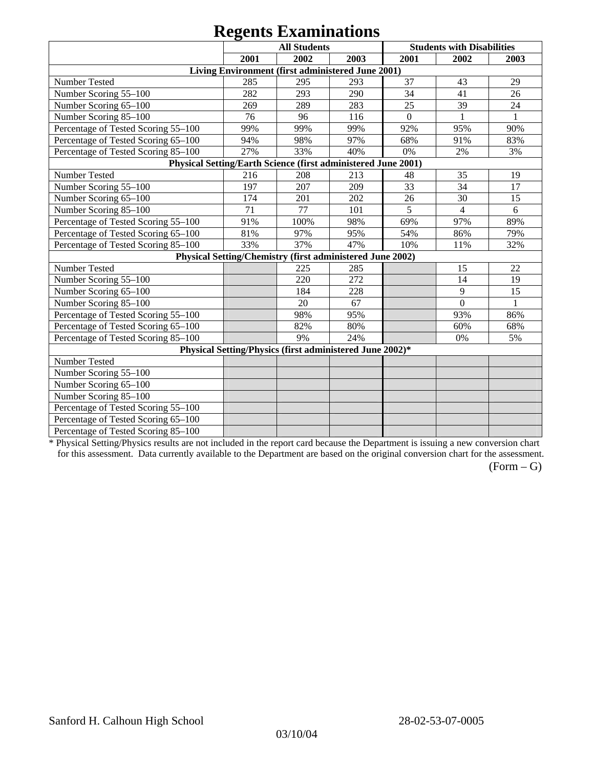|                                                               |      | $\mathbf{v}_{\mathbf{p}}$ $\mathbf{v}_{\mathbf{p}}$<br><b>All Students</b> |      |                | <b>Students with Disabilities</b> |              |
|---------------------------------------------------------------|------|----------------------------------------------------------------------------|------|----------------|-----------------------------------|--------------|
|                                                               | 2001 | 2002                                                                       | 2003 | 2001           | 2002                              | 2003         |
|                                                               |      | Living Environment (first administered June 2001)                          |      |                |                                   |              |
| Number Tested                                                 | 285  | 295                                                                        | 293  | 37             | 43                                | 29           |
| Number Scoring 55-100                                         | 282  | 293                                                                        | 290  | 34             | 41                                | 26           |
| Number Scoring 65-100                                         | 269  | 289                                                                        | 283  | 25             | 39                                | 24           |
| Number Scoring 85-100                                         | 76   | 96                                                                         | 116  | $\overline{0}$ |                                   | $\mathbf{1}$ |
| Percentage of Tested Scoring 55-100                           | 99%  | 99%                                                                        | 99%  | 92%            | 95%                               | 90%          |
| Percentage of Tested Scoring 65-100                           | 94%  | 98%                                                                        | 97%  | 68%            | 91%                               | 83%          |
| Percentage of Tested Scoring 85-100                           | 27%  | 33%                                                                        | 40%  | 0%             | 2%                                | 3%           |
| Physical Setting/Earth Science (first administered June 2001) |      |                                                                            |      |                |                                   |              |
| Number Tested                                                 | 216  | 208                                                                        | 213  | 48             | 35                                | 19           |
| Number Scoring 55-100                                         | 197  | 207                                                                        | 209  | 33             | 34                                | 17           |
| Number Scoring 65-100                                         | 174  | 201                                                                        | 202  | 26             | 30                                | 15           |
| Number Scoring 85-100                                         | 71   | 77                                                                         | 101  | 5              | $\overline{4}$                    | 6            |
| Percentage of Tested Scoring 55-100                           | 91%  | 100%                                                                       | 98%  | 69%            | 97%                               | 89%          |
| Percentage of Tested Scoring 65-100                           | 81%  | 97%                                                                        | 95%  | 54%            | 86%                               | 79%          |
| Percentage of Tested Scoring 85-100                           | 33%  | 37%                                                                        | 47%  | 10%            | 11%                               | 32%          |
|                                                               |      | Physical Setting/Chemistry (first administered June 2002)                  |      |                |                                   |              |
| Number Tested                                                 |      | 225                                                                        | 285  |                | 15                                | 22           |
| Number Scoring 55-100                                         |      | 220                                                                        | 272  |                | 14                                | 19           |
| Number Scoring 65-100                                         |      | 184                                                                        | 228  |                | 9                                 | 15           |
| Number Scoring 85-100                                         |      | 20                                                                         | 67   |                | $\overline{0}$                    |              |
| Percentage of Tested Scoring 55-100                           |      | 98%                                                                        | 95%  |                | 93%                               | 86%          |
| Percentage of Tested Scoring 65-100                           |      | 82%                                                                        | 80%  |                | 60%                               | 68%          |
| Percentage of Tested Scoring 85-100                           |      | 9%                                                                         | 24%  |                | 0%                                | 5%           |
|                                                               |      | Physical Setting/Physics (first administered June 2002)*                   |      |                |                                   |              |
| Number Tested                                                 |      |                                                                            |      |                |                                   |              |
| Number Scoring 55-100                                         |      |                                                                            |      |                |                                   |              |
| Number Scoring 65-100                                         |      |                                                                            |      |                |                                   |              |
| Number Scoring 85-100                                         |      |                                                                            |      |                |                                   |              |
| Percentage of Tested Scoring 55-100                           |      |                                                                            |      |                |                                   |              |
| Percentage of Tested Scoring 65-100                           |      |                                                                            |      |                |                                   |              |
| Percentage of Tested Scoring 85-100                           |      |                                                                            |      |                |                                   |              |

\* Physical Setting/Physics results are not included in the report card because the Department is issuing a new conversion chart for this assessment. Data currently available to the Department are based on the original conversion chart for the assessment.

 $(Form - G)$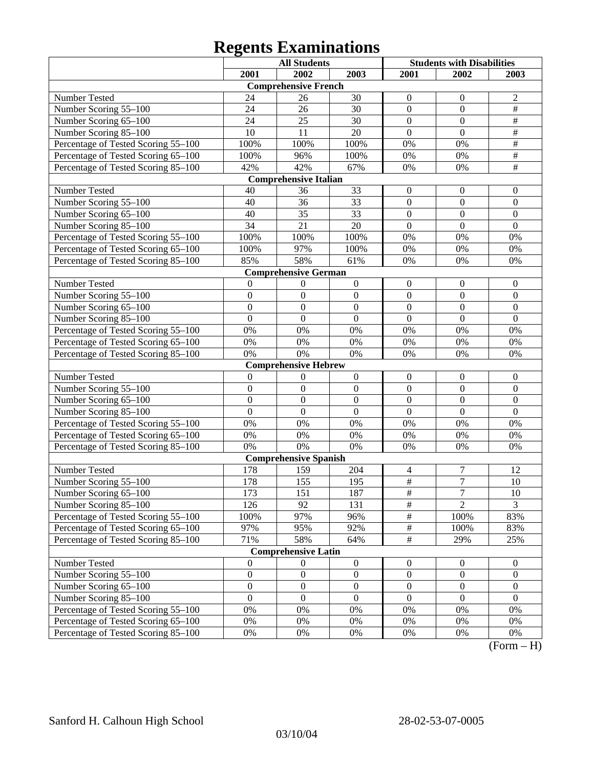|                                     |                  | <b>All Students</b>          |                  | <b>Students with Disabilities</b> |                  |                  |
|-------------------------------------|------------------|------------------------------|------------------|-----------------------------------|------------------|------------------|
|                                     | 2001             | 2002                         | 2003             | 2001                              | 2002             | 2003             |
|                                     |                  | <b>Comprehensive French</b>  |                  |                                   |                  |                  |
| Number Tested                       | 24               | 26                           | 30               | $\overline{0}$                    | $\mathbf{0}$     | $\overline{2}$   |
| Number Scoring 55-100               | 24               | 26                           | 30               | $\mathbf{0}$                      | $\mathbf{0}$     | $\overline{\#}$  |
| Number Scoring 65-100               | 24               | 25                           | $\overline{30}$  | $\overline{0}$                    | $\overline{0}$   | $\overline{\#}$  |
| Number Scoring 85-100               | 10               | 11                           | 20               | $\overline{0}$                    | $\overline{0}$   | $\#$             |
| Percentage of Tested Scoring 55-100 | 100%             | 100%                         | 100%             | 0%                                | 0%               | $\#$             |
| Percentage of Tested Scoring 65-100 | 100%             | 96%                          | 100%             | 0%                                | 0%               | $\#$             |
| Percentage of Tested Scoring 85-100 | 42%              | 42%                          | 67%              | 0%                                | 0%               | $\overline{\#}$  |
|                                     |                  | <b>Comprehensive Italian</b> |                  |                                   |                  |                  |
| Number Tested                       | 40               | 36                           | 33               | $\boldsymbol{0}$                  | $\boldsymbol{0}$ | $\boldsymbol{0}$ |
| Number Scoring 55-100               | 40               | $\overline{36}$              | $\overline{33}$  | $\overline{0}$                    | $\mathbf{0}$     | $\mathbf{0}$     |
| Number Scoring 65-100               | 40               | 35                           | $\overline{33}$  | $\overline{0}$                    | $\overline{0}$   | $\mathbf{0}$     |
| Number Scoring 85-100               | $\overline{34}$  | $\overline{21}$              | 20               | $\overline{0}$                    | $\overline{0}$   | $\mathbf{0}$     |
| Percentage of Tested Scoring 55-100 | 100%             | 100%                         | 100%             | 0%                                | 0%               | 0%               |
| Percentage of Tested Scoring 65-100 | 100%             | 97%                          | 100%             | 0%                                | 0%               | 0%               |
| Percentage of Tested Scoring 85-100 | 85%              | 58%                          | 61%              | 0%                                | 0%               | 0%               |
|                                     |                  | <b>Comprehensive German</b>  |                  |                                   |                  |                  |
| Number Tested                       | $\theta$         | 0                            | $\boldsymbol{0}$ | $\boldsymbol{0}$                  | $\boldsymbol{0}$ | $\boldsymbol{0}$ |
| Number Scoring 55-100               | $\mathbf{0}$     | $\mathbf{0}$                 | $\boldsymbol{0}$ | $\overline{0}$                    | $\mathbf{0}$     | $\mathbf{0}$     |
| Number Scoring 65-100               | $\overline{0}$   | $\boldsymbol{0}$             | $\overline{0}$   | $\overline{0}$                    | $\overline{0}$   | $\mathbf{0}$     |
| Number Scoring 85-100               | $\overline{0}$   | $\boldsymbol{0}$             | $\overline{0}$   | $\overline{0}$                    | $\overline{0}$   | $\mathbf{0}$     |
| Percentage of Tested Scoring 55-100 | 0%               | 0%                           | 0%               | 0%                                | 0%               | 0%               |
| Percentage of Tested Scoring 65-100 | 0%               | 0%                           | 0%               | 0%                                | 0%               | 0%               |
| Percentage of Tested Scoring 85-100 | 0%               | 0%                           | 0%               | 0%                                | 0%               | 0%               |
|                                     |                  | <b>Comprehensive Hebrew</b>  |                  |                                   |                  |                  |
| Number Tested                       | $\mathbf{0}$     | $\theta$                     | $\boldsymbol{0}$ | $\boldsymbol{0}$                  | $\boldsymbol{0}$ | $\boldsymbol{0}$ |
| Number Scoring 55-100               | $\boldsymbol{0}$ | $\mathbf{0}$                 | $\boldsymbol{0}$ | $\overline{0}$                    | $\mathbf{0}$     | $\mathbf{0}$     |
| Number Scoring 65-100               | $\overline{0}$   | $\overline{0}$               | $\overline{0}$   | $\overline{0}$                    | $\overline{0}$   | $\mathbf{0}$     |
| Number Scoring 85-100               | $\overline{0}$   | $\mathbf{0}$                 | $\overline{0}$   | $\overline{0}$                    | $\overline{0}$   | $\mathbf{0}$     |
| Percentage of Tested Scoring 55-100 | 0%               | 0%                           | 0%               | 0%                                | 0%               | 0%               |
| Percentage of Tested Scoring 65-100 | 0%               | 0%                           | 0%               | 0%                                | 0%               | 0%               |
| Percentage of Tested Scoring 85-100 | 0%               | 0%                           | 0%               | 0%                                | 0%               | 0%               |
|                                     |                  | <b>Comprehensive Spanish</b> |                  |                                   |                  |                  |
| Number Tested                       | 178              | 159                          | 204              | 4                                 | 7                | 12               |
| Number Scoring 55-100               | 178              | 155                          | 195              | $\overline{\#}$                   | $\overline{7}$   | 10               |
| Number Scoring 65–100               | 173              | $\overline{151}$             | 187              | $\overline{\#}$                   | $\overline{7}$   | $\overline{10}$  |
| Number Scoring 85-100               | 126              | 92                           | 131              | $\overline{\#}$                   | $\overline{2}$   | $\overline{3}$   |
| Percentage of Tested Scoring 55-100 | 100%             | 97%                          | 96%              | $\frac{1}{2}$                     | 100%             | 83%              |
| Percentage of Tested Scoring 65-100 | 97%              | 95%                          | 92%              | $\frac{1}{2}$                     | 100%             | 83%              |
| Percentage of Tested Scoring 85-100 | 71%              | 58%                          | 64%              | $\overline{\#}$                   | 29%              | 25%              |
|                                     |                  | <b>Comprehensive Latin</b>   |                  |                                   |                  |                  |
| Number Tested                       | $\mathbf{0}$     | $\overline{0}$               | $\boldsymbol{0}$ | $\boldsymbol{0}$                  | $\boldsymbol{0}$ | $\mathbf{0}$     |
| Number Scoring 55-100               | $\boldsymbol{0}$ | $\boldsymbol{0}$             | $\boldsymbol{0}$ | $\boldsymbol{0}$                  | $\boldsymbol{0}$ | $\boldsymbol{0}$ |
| Number Scoring 65-100               | $\boldsymbol{0}$ | $\boldsymbol{0}$             | $\boldsymbol{0}$ | $\boldsymbol{0}$                  | $\boldsymbol{0}$ | $\boldsymbol{0}$ |
| Number Scoring 85-100               | $\mathbf{0}$     | $\boldsymbol{0}$             | $\boldsymbol{0}$ | $\boldsymbol{0}$                  | $\boldsymbol{0}$ | $\mathbf{0}$     |
| Percentage of Tested Scoring 55-100 | $0\%$            | 0%                           | 0%               | 0%                                | 0%               | 0%               |
| Percentage of Tested Scoring 65-100 | $0\%$            | 0%                           | 0%               | 0%                                | 0%               | 0%               |
| Percentage of Tested Scoring 85-100 | $0\%$            | 0%                           | 0%               | 0%                                | 0%               | $0\%$            |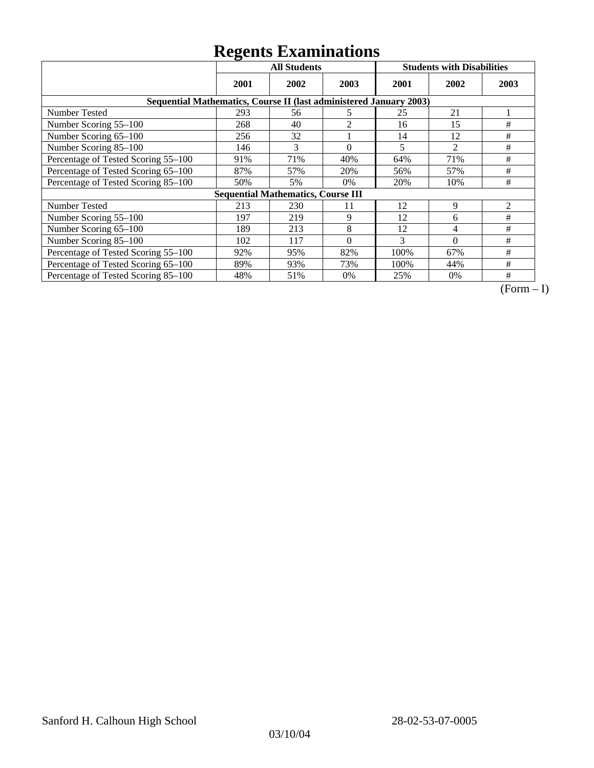|                                                                    | ັ<br><b>All Students</b> |                                           |          |      | <b>Students with Disabilities</b> |                |
|--------------------------------------------------------------------|--------------------------|-------------------------------------------|----------|------|-----------------------------------|----------------|
|                                                                    | 2001                     | 2002                                      | 2003     | 2001 | 2002                              | 2003           |
| Sequential Mathematics, Course II (last administered January 2003) |                          |                                           |          |      |                                   |                |
| <b>Number Tested</b>                                               | 293                      | 56                                        | 5        | 25   | 21                                |                |
| Number Scoring 55-100                                              | 268                      | 40                                        | 2        | 16   | 15                                | #              |
| Number Scoring 65-100                                              | 256                      | 32                                        |          | 14   | 12                                | #              |
| Number Scoring 85-100                                              | 146                      | 3                                         | $\theta$ | 5    | $\overline{2}$                    | #              |
| Percentage of Tested Scoring 55-100                                | 91%                      | 71%                                       | 40%      | 64%  | 71%                               | #              |
| Percentage of Tested Scoring 65-100                                | 87%                      | 57%                                       | 20%      | 56%  | 57%                               | #              |
| Percentage of Tested Scoring 85-100                                | 50%                      | 5%                                        | $0\%$    | 20%  | 10%                               | #              |
|                                                                    |                          | <b>Sequential Mathematics, Course III</b> |          |      |                                   |                |
| <b>Number Tested</b>                                               | 213                      | 230                                       | 11       | 12   | 9                                 | $\overline{2}$ |
| Number Scoring 55-100                                              | 197                      | 219                                       | 9        | 12   | 6                                 | #              |
| Number Scoring 65-100                                              | 189                      | 213                                       | 8        | 12   | 4                                 | #              |
| Number Scoring 85-100                                              | 102                      | 117                                       | $\Omega$ | 3    | $\Omega$                          | #              |
| Percentage of Tested Scoring 55-100                                | 92%                      | 95%                                       | 82%      | 100% | 67%                               | #              |
| Percentage of Tested Scoring 65-100                                | 89%                      | 93%                                       | 73%      | 100% | 44%                               | #              |
| Percentage of Tested Scoring 85-100                                | 48%                      | 51%                                       | $0\%$    | 25%  | $0\%$                             | #              |

 $\overline{(Form-I)}$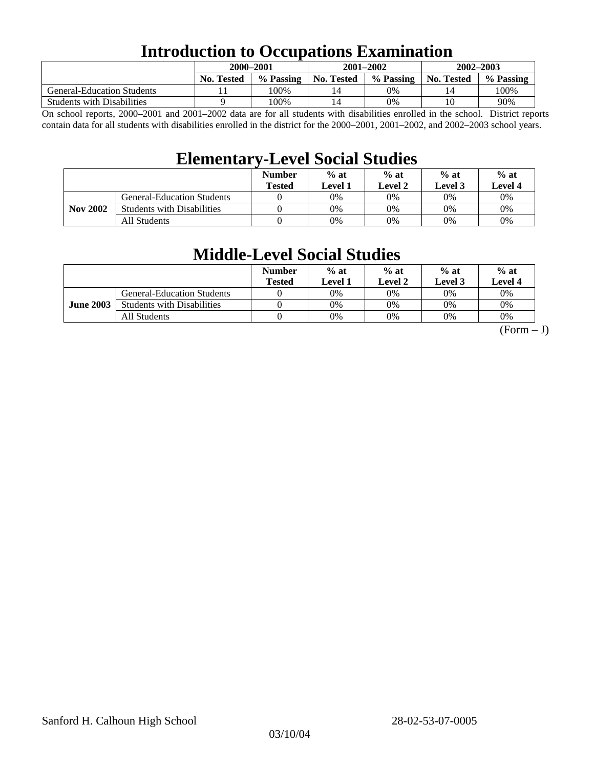## **Introduction to Occupations Examination**

|                                   | 2000-2001         |           | $2001 - 2002$ |           | 2002-2003  |           |  |
|-----------------------------------|-------------------|-----------|---------------|-----------|------------|-----------|--|
|                                   | <b>No. Tested</b> | % Passing | No. Tested    | % Passing | No. Tested | % Passing |  |
| <b>General-Education Students</b> |                   | 100%      | 14            | 0%        | 14         | 100%      |  |
| <b>Students with Disabilities</b> |                   | 100%      | 14            | $0\%$     |            | 90%       |  |

On school reports, 2000–2001 and 2001–2002 data are for all students with disabilities enrolled in the school. District reports contain data for all students with disabilities enrolled in the district for the 2000–2001, 2001–2002, and 2002–2003 school years.

### **Elementary-Level Social Studies**

|                 |                                   | <b>Number</b><br><b>Tested</b> | $%$ at<br>Level 1 | $%$ at<br>$%$ at<br>Level 2<br>Level 3 |    | $%$ at<br><b>Level 4</b> |
|-----------------|-----------------------------------|--------------------------------|-------------------|----------------------------------------|----|--------------------------|
| <b>Nov 2002</b> | General-Education Students        |                                | 0%                | $0\%$                                  | 0% | 0%                       |
|                 | <b>Students with Disabilities</b> |                                | 0%                | $0\%$                                  | 0% | $0\%$                    |
|                 | All Students                      |                                | 0%                | $0\%$                                  | 0% | $0\%$                    |

### **Middle-Level Social Studies**

|                  |                                   | <b>Number</b><br><b>Tested</b> | $%$ at<br>Level 1 | $%$ at<br>Level 2 | $%$ at<br>Level 3 | $%$ at<br>Level 4 |
|------------------|-----------------------------------|--------------------------------|-------------------|-------------------|-------------------|-------------------|
| <b>June 2003</b> | <b>General-Education Students</b> |                                | 0%                | 0%                | 0%                | 0%                |
|                  | <b>Students with Disabilities</b> |                                | 0%                | 0%                | 0%                | 0%                |
|                  | All Students                      |                                | 0%                | 0%                | 0%                | 0%                |

 $(Form - J)$